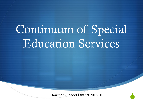# Continuum of Special Education Services

Hawthorn School District 2016-2017

 $\blacklozenge$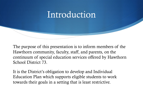#### Introduction

The purpose of this presentation is to inform members of the Hawthorn community, faculty, staff, and parents, on the continuum of special education services offered by Hawthorn School District 73.

It is the District's obligation to develop and Individual Education Plan which supports eligible students to work towards their goals in a setting that is least restrictive.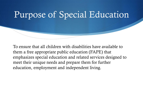### Purpose of Special Education

To ensure that all children with disabilities have available to them a free appropriate public education (FAPE) that emphasizes special education and related services designed to meet their unique needs and prepare them for further education, employment and independent living.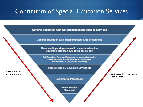#### Continuum of Special Education Services

**General Education with No Supplementary Aids or Services** 

**General Education with Supplementary Aids or Services** 

Resource Support (placement in a special education classroom less than 40% of the special day

Self-Contained Placement(placement in a special education classroom more than 40% for the school day (ex. Instructional, DD, DI, and DLP classes)

**Separate Special Education Day School** 

**Residential Placement** 

**Home Hospital Placement** 

most restrictive Least access to typical peers to most access

Least restrictive to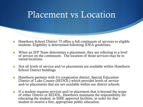#### Placement vs Location

- Hawthorn School District 73 offers a full continuum of services to eligible students. Eligibility is determined following IDEA guidelines.
- $\blacklozenge$  When an IEP Team determines a placement, they are referring to a level of service on the continuum. The location of those services may be in varied locations.
- $\bullet$  Not all levels of service and/or placements are available within Hawthorn School District buildings.
- $\blacklozenge$  Hawthorn partners with it's cooperative district, Special Education District of Lake County (SEDOL) which provides levels of service and/or placements that are not available within our district schools.
- If a student requires services and/or placement that is beyond the scope of either District or SEDOL, Hawthorn maintains the responsibility for educating the student, in ISBE approved facilities, in order for that student to receive a free, appropriate public education.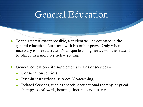#### General Education

- To the greatest extent possible, a student will be educated in the general education classroom with his or her peers. Only when necessary to meet a student's unique learning needs, will the student be placed in a more restrictive setting.
- General education with supplementary aids or services
	- Consultation services
	- Push-in instructional services (Co-teaching)
	- Related Services, such as speech, occupational therapy, physical therapy, social work, hearing itinerant services, etc.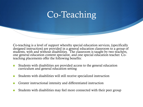#### Co-Teaching

Co-teaching is a level of support whereby special education services, (specifically designed instruction) are provided in a general education classroom to a group of students, with and without disabilities. The classroom is taught by two teachers, one general education content specialist, and one special education teacher. Coteaching placements offer the following benefits:

- Students with disabilities are provided access to the general education curriculum and general education setting
- Students with disabilities will still receive specialized instruction
- S Greater instructional intensity and differentiated instruction
- Students with disabilities may feel more connected with their peer group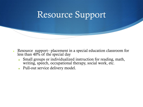

- Resource support– placement in a special education classroom for less than  $40\%$  of the special day
	- Small groups or individualized instruction for reading, math, writing, speech, occupational therapy, social work, etc.
	- Pull-out service delivery model.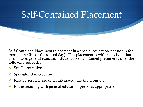

Self-Contained Placement (placement in a special education classroom for more than 40% of the school day). This placement is within a school that also houses general education students. Self-contained placements offer the following supports:

- $\cdot$  Small group size
- $\bullet$  Specialized instruction
- $\cdot$  Related services are often integrated into the program
- $\cdot$  Mainstreaming with general education peers, as appropriate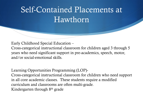#### Self-Contained Placements at Hawthorn

Early Childhood Special Education –

Cross-categorical instructional classroom for children aged 3 through 5 years who need significant support in pre-academics, speech, motor, and/or social-emotional skills.

Learning Opportunities Programming (LOP)- Cross-categorical instructional classroom for children who need support in all core academic classes. These students require a modified curriculum and classrooms are often multi-grade. Kindergarten through 8th grade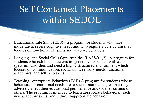# Self-Contained Placements within SEDOL

- Educational Life Skills  $(ELS)$  a program for students who have moderate to severe cognitive needs and who require a curriculum that focuses on functional life skills and adaptive behaviors.
- Language and Social Skills Opportunities (LASSO  $1,2$ ) –A program for students who exhibit characteristics generally associated with autism spectrum disorders and need a highly structured environment which focuses on communication, social skills, sensory needs, functional academics, and self help skills.
- Teaching Appropriate Behaviors (TAB)-A program for students whose behavioral or emotional needs are to such a marked degree that they adversely affect their educational performance and/or the learning of others. The program is intended to teach appropriate behaviors, teach new academic skills, and reduce inappropriate behavior.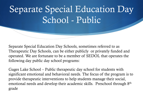Separate Special Education Day Schools, sometimes referred to as Therapeutic Day Schools, can be either publicly or privately funded and operated. We are fortunate to be a member of SEDOL that operates the following day public day school programs:

Gages Lake School – Public therapeutic day school for students with significant emotional and behavioral needs. The focus of the program is to provide therapeutic interventions to help students manage their social, emotional needs and develop their academic skills. Preschool through 8th grade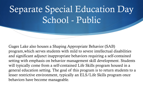Gages Lake also houses a Shaping Appropriate Behavior (SAB) program,which serves students with mild to severe intellectual disabilities and significant adjunct inappropriate behaviors requiring a self-contained setting with emphasis on behavior management skill development. Students will typically come from a self-contained Life Skills program housed in a general education setting. The goal of this program is to return students to a lesser restrictive environment, typically an ELS/Life Skills program once behaviors have become manageable.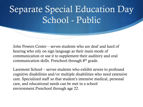John Powers Center – serves students who are deaf and hard of hearing who rely on sign language as their main mode of communication or use it to supplement their auditory and oral communication skills. Preschool through 8th grade.

Laremont School – serves students who exhibit severe to profound cognitive disabilities and/or multiple disabilities who need extensive care. Specialized staff so that student's intensive medical, personal care, and educational needs can be met in a school environment.Preschool through age 22.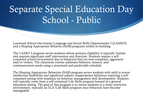Laremont School also houses Language and Social Skills Opportunities 3 (LASSO3) and a Shaping Appropriate Behavior (SAB) programs within its building.

The LASSO 3 program serves students whose primary eligibility is typically Autism and requires significant staff intervention and direction. Students require a selfcontained school environment due to behaviors that are non-compliant, aggressive and/or violent. The classroom routine addresses behavior, sensory, and communication needs using a structured and predictable schedule.

The Shaping Appropriate Behaviors (SAB) program serves students with mild to severe intellectual disabilities and significant adjunct inappropriate behaviors requiring a selfcontained setting with emphasis on behavior management skill development. Students will typically come from a self-contained Life Skills program housed in a general education setting. The goal of this program is to return students to a lesser restrictive environment, typically an ELS/Life Skills program once behaviors have become manageable.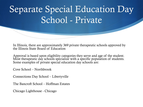In Illinois, there are approximately 369 private therapeutic schools approved by the Illinois State Board of Education

Approval is based upon eligibility categories they serve and age of the student. Most therapeutic day schools specialize with a specific population of students. Some examples of private special education day schools are:

Cove School – Northbrook

Connections Day School – Libertyville

The Bancroft School – Hoffman Estates

Chicago Lighthouse - Chicago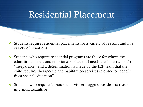#### Residential Placement

- $\cdot$  Students require residential placements for a variety of reasons and in a variety of situations
- $\cdot$  Students who require residential programs are those for whom the educational needs and emotional/behavioral needs are "intertwined" or "inseparable" and a determination is made by the IEP team that the child requires therapeutic and habilitation services in order to "benefit from special education"
- $\cdot$  Students who require 24 hour supervision aggressive, destructive, selfinjurious, assaultive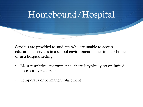

Services are provided to students who are unable to access educational services in a school environment, either in their home or in a hospital setting.

- Most restrictive environment as there is typically no or limited access to typical peers
- Temporary or permanent placement